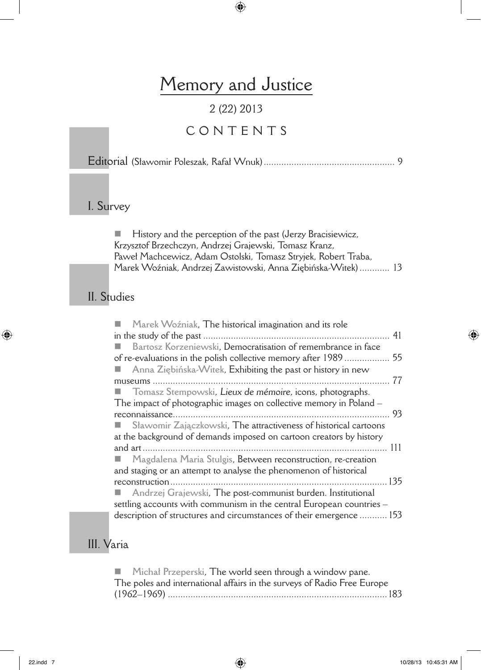# Memory and Justice

### 2 (22) 2013

## CONTENTS

Editorial (Sławomir Poleszak, Rafał Wnuk).................................................... 9

#### I. Survey

 $\blacksquare$  History and the perception of the past (Jerzy Bracisiewicz, Krzysztof Brzechczyn, Andrzej Grajewski, Tomasz Kranz, Paweł Machcewicz, Adam Ostolski, Tomasz Stryjek, Robert Traba, Marek Woźniak, Andrzej Zawistowski, Anna Ziębińska-Witek)............ 13

#### II. Studies

| Marek Woźniak, The historical imagination and its role                                                                                      | 41 |
|---------------------------------------------------------------------------------------------------------------------------------------------|----|
| Bartosz Korzeniewski, Democratisation of remembrance in face                                                                                |    |
| of re-evaluations in the polish collective memory after 1989                                                                                | 55 |
| Anna Ziębińska-Witek, Exhibiting the past or history in new                                                                                 |    |
|                                                                                                                                             | 77 |
| <b>T</b> Tomasz Stempowski, Lieux de mémoire, icons, photographs.                                                                           |    |
| The impact of photographic images on collective memory in Poland -                                                                          |    |
|                                                                                                                                             | 93 |
| Sławomir Zajączkowski, The attractiveness of historical cartoons                                                                            |    |
| at the background of demands imposed on cartoon creators by history                                                                         |    |
|                                                                                                                                             |    |
| Magdalena Maria Stulgis, Between reconstruction, re-creation                                                                                |    |
| and staging or an attempt to analyse the phenomenon of historical                                                                           |    |
|                                                                                                                                             |    |
| Andrzej Grajewski, The post-communist burden. Institutional                                                                                 |    |
| settling accounts with communism in the central European countries -<br>description of structures and circumstances of their emergence  153 |    |
|                                                                                                                                             |    |

#### III. Varia

| Michal Przeperski, The world seen through a window pane.                |  |
|-------------------------------------------------------------------------|--|
| The poles and international affairs in the surveys of Radio Free Europe |  |
|                                                                         |  |